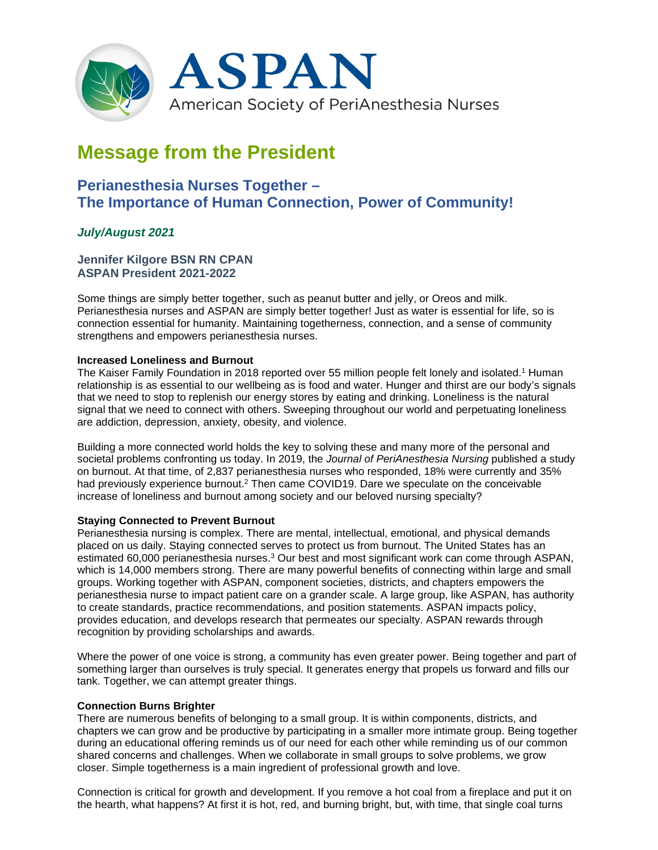

# **Message from the President**

## **Perianesthesia Nurses Together – The Importance of Human Connection, Power of Community!**

### *July/August 2021*

#### **Jennifer Kilgore BSN RN CPAN ASPAN President 2021-2022**

Some things are simply better together, such as peanut butter and jelly, or Oreos and milk. Perianesthesia nurses and ASPAN are simply better together! Just as water is essential for life, so is connection essential for humanity. Maintaining togetherness, connection, and a sense of community strengthens and empowers perianesthesia nurses.

#### **Increased Loneliness and Burnout**

The Kaiser Family Foundation in 2018 reported over 55 million people felt lonely and isolated.1 Human relationship is as essential to our wellbeing as is food and water. Hunger and thirst are our body's signals that we need to stop to replenish our energy stores by eating and drinking. Loneliness is the natural signal that we need to connect with others. Sweeping throughout our world and perpetuating loneliness are addiction, depression, anxiety, obesity, and violence.

Building a more connected world holds the key to solving these and many more of the personal and societal problems confronting us today. In 2019, the *Journal of PeriAnesthesia Nursing* published a study on burnout. At that time, of 2,837 perianesthesia nurses who responded, 18% were currently and 35% had previously experience burnout.<sup>2</sup> Then came COVID19. Dare we speculate on the conceivable increase of loneliness and burnout among society and our beloved nursing specialty?

#### **Staying Connected to Prevent Burnout**

Perianesthesia nursing is complex. There are mental, intellectual, emotional, and physical demands placed on us daily. Staying connected serves to protect us from burnout. The United States has an estimated 60,000 perianesthesia nurses.<sup>3</sup> Our best and most significant work can come through ASPAN, which is 14,000 members strong. There are many powerful benefits of connecting within large and small groups. Working together with ASPAN, component societies, districts, and chapters empowers the perianesthesia nurse to impact patient care on a grander scale. A large group, like ASPAN, has authority to create standards, practice recommendations, and position statements. ASPAN impacts policy, provides education, and develops research that permeates our specialty. ASPAN rewards through recognition by providing scholarships and awards.

Where the power of one voice is strong, a community has even greater power. Being together and part of something larger than ourselves is truly special. It generates energy that propels us forward and fills our tank. Together, we can attempt greater things.

#### **Connection Burns Brighter**

There are numerous benefits of belonging to a small group. It is within components, districts, and chapters we can grow and be productive by participating in a smaller more intimate group. Being together during an educational offering reminds us of our need for each other while reminding us of our common shared concerns and challenges. When we collaborate in small groups to solve problems, we grow closer. Simple togetherness is a main ingredient of professional growth and love.

Connection is critical for growth and development. If you remove a hot coal from a fireplace and put it on the hearth, what happens? At first it is hot, red, and burning bright, but, with time, that single coal turns